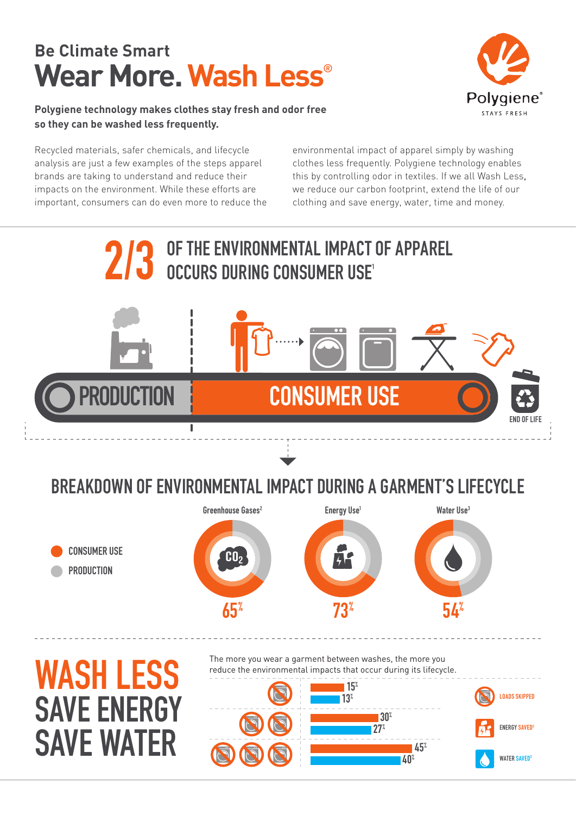## **Be Climate Smart Wear More. Wash Less**®

**Polygiene technology makes clothes stay fresh and odor free so they can be washed less frequently.**



Recycled materials, safer chemicals, and lifecycle analysis are just a few examples of the steps apparel brands are taking to understand and reduce their impacts on the environment. While these efforts are important, consumers can do even more to reduce the environmental impact of apparel simply by washing clothes less frequently. Polygiene technology enables this by controlling odor in textiles. If we all Wash Less, we reduce our carbon footprint, extend the life of our clothing and save energy, water, time and money.